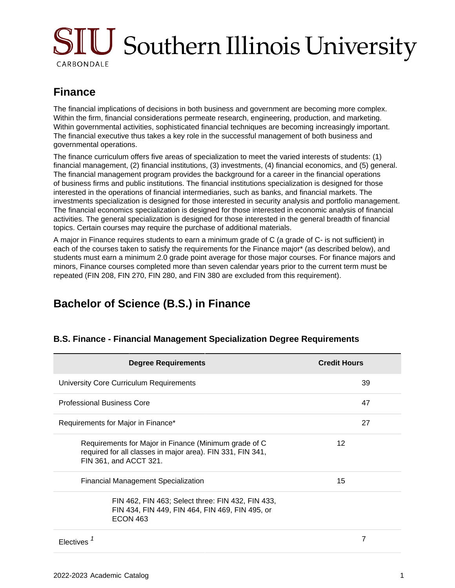# **SIU** Southern Illinois University CARBONDALE

# **Finance**

The financial implications of decisions in both business and government are becoming more complex. Within the firm, financial considerations permeate research, engineering, production, and marketing. Within governmental activities, sophisticated financial techniques are becoming increasingly important. The financial executive thus takes a key role in the successful management of both business and governmental operations.

The finance curriculum offers five areas of specialization to meet the varied interests of students: (1) financial management, (2) financial institutions, (3) investments, (4) financial economics, and (5) general. The financial management program provides the background for a career in the financial operations of business firms and public institutions. The financial institutions specialization is designed for those interested in the operations of financial intermediaries, such as banks, and financial markets. The investments specialization is designed for those interested in security analysis and portfolio management. The financial economics specialization is designed for those interested in economic analysis of financial activities. The general specialization is designed for those interested in the general breadth of financial topics. Certain courses may require the purchase of additional materials.

A major in Finance requires students to earn a minimum grade of C (a grade of C- is not sufficient) in each of the courses taken to satisfy the requirements for the Finance major\* (as described below), and students must earn a minimum 2.0 grade point average for those major courses. For finance majors and minors, Finance courses completed more than seven calendar years prior to the current term must be repeated (FIN 208, FIN 270, FIN 280, and FIN 380 are excluded from this requirement).

# **Bachelor of Science (B.S.) in Finance**

| <b>Degree Requirements</b>                                                                                                                    | <b>Credit Hours</b> |
|-----------------------------------------------------------------------------------------------------------------------------------------------|---------------------|
| <b>University Core Curriculum Requirements</b>                                                                                                | 39                  |
| <b>Professional Business Core</b>                                                                                                             | 47                  |
| Requirements for Major in Finance*                                                                                                            | 27                  |
| Requirements for Major in Finance (Minimum grade of C<br>required for all classes in major area). FIN 331, FIN 341,<br>FIN 361, and ACCT 321. | 12                  |
| <b>Financial Management Specialization</b>                                                                                                    | 15                  |
| FIN 462, FIN 463; Select three: FIN 432, FIN 433,<br>FIN 434, FIN 449, FIN 464, FIN 469, FIN 495, or<br><b>ECON 463</b>                       |                     |
| Electives                                                                                                                                     | 7                   |

#### **B.S. Finance - Financial Management Specialization Degree Requirements**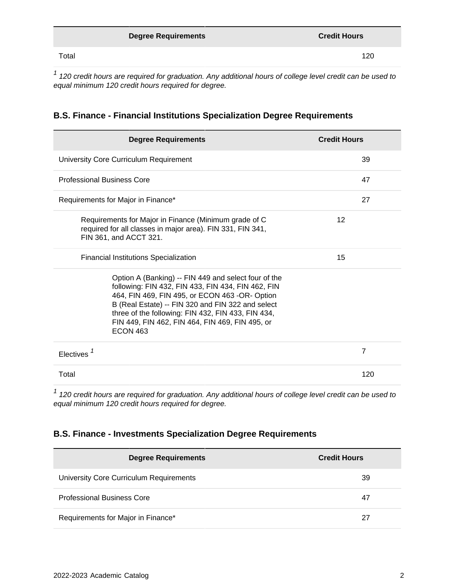|       | <b>Degree Requirements</b> | <b>Credit Hours</b> |
|-------|----------------------------|---------------------|
| Total |                            | 120                 |

 $1$  120 credit hours are required for graduation. Any additional hours of college level credit can be used to equal minimum 120 credit hours required for degree.

| <b>B.S. Finance - Financial Institutions Specialization Degree Requirements</b> |  |
|---------------------------------------------------------------------------------|--|
|---------------------------------------------------------------------------------|--|

| <b>Degree Requirements</b>                                                                                                                                                                                                                                                                                                                    | <b>Credit Hours</b> |
|-----------------------------------------------------------------------------------------------------------------------------------------------------------------------------------------------------------------------------------------------------------------------------------------------------------------------------------------------|---------------------|
| University Core Curriculum Requirement                                                                                                                                                                                                                                                                                                        | 39                  |
| <b>Professional Business Core</b>                                                                                                                                                                                                                                                                                                             | 47                  |
| Requirements for Major in Finance*                                                                                                                                                                                                                                                                                                            | 27                  |
| Requirements for Major in Finance (Minimum grade of C<br>required for all classes in major area). FIN 331, FIN 341,<br>FIN 361, and ACCT 321.                                                                                                                                                                                                 | 12                  |
| <b>Financial Institutions Specialization</b>                                                                                                                                                                                                                                                                                                  | 15                  |
| Option A (Banking) -- FIN 449 and select four of the<br>following: FIN 432, FIN 433, FIN 434, FIN 462, FIN<br>464, FIN 469, FIN 495, or ECON 463 -OR- Option<br>B (Real Estate) -- FIN 320 and FIN 322 and select<br>three of the following: FIN 432, FIN 433, FIN 434,<br>FIN 449, FIN 462, FIN 464, FIN 469, FIN 495, or<br><b>ECON 463</b> |                     |
| Electives <sup><math>1</math></sup>                                                                                                                                                                                                                                                                                                           | $\overline{7}$      |
| Total                                                                                                                                                                                                                                                                                                                                         | 120                 |

 $1$  120 credit hours are required for graduation. Any additional hours of college level credit can be used to equal minimum 120 credit hours required for degree.

#### **B.S. Finance - Investments Specialization Degree Requirements**

| <b>Degree Requirements</b>              | <b>Credit Hours</b> |
|-----------------------------------------|---------------------|
| University Core Curriculum Requirements | 39                  |
| <b>Professional Business Core</b>       | 47                  |
| Requirements for Major in Finance*      | 27                  |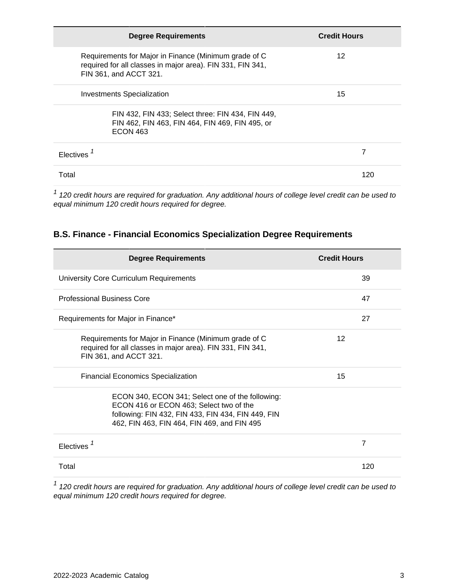| <b>Degree Requirements</b>                                                                                                                    | <b>Credit Hours</b> |
|-----------------------------------------------------------------------------------------------------------------------------------------------|---------------------|
| Requirements for Major in Finance (Minimum grade of C<br>required for all classes in major area). FIN 331, FIN 341,<br>FIN 361, and ACCT 321. | 12                  |
| <b>Investments Specialization</b>                                                                                                             | 15                  |
| FIN 432, FIN 433; Select three: FIN 434, FIN 449,<br>FIN 462, FIN 463, FIN 464, FIN 469, FIN 495, or<br><b>ECON 463</b>                       |                     |
| Electives                                                                                                                                     |                     |
| Total                                                                                                                                         | 120                 |

 $1$  120 credit hours are required for graduation. Any additional hours of college level credit can be used to equal minimum 120 credit hours required for degree.

#### **B.S. Finance - Financial Economics Specialization Degree Requirements**

| <b>Degree Requirements</b>                                                                                                                                                                       | <b>Credit Hours</b> |
|--------------------------------------------------------------------------------------------------------------------------------------------------------------------------------------------------|---------------------|
| University Core Curriculum Requirements                                                                                                                                                          | 39                  |
| <b>Professional Business Core</b>                                                                                                                                                                | 47                  |
| Requirements for Major in Finance*                                                                                                                                                               | 27                  |
| Requirements for Major in Finance (Minimum grade of C<br>required for all classes in major area). FIN 331, FIN 341,<br>FIN 361, and ACCT 321.                                                    | 12                  |
| <b>Financial Economics Specialization</b>                                                                                                                                                        | 15                  |
| ECON 340, ECON 341; Select one of the following:<br>ECON 416 or ECON 463; Select two of the<br>following: FIN 432, FIN 433, FIN 434, FIN 449, FIN<br>462, FIN 463, FIN 464, FIN 469, and FIN 495 |                     |
| Electives                                                                                                                                                                                        | 7                   |
| Total                                                                                                                                                                                            | 120                 |

 $1$  120 credit hours are required for graduation. Any additional hours of college level credit can be used to equal minimum 120 credit hours required for degree.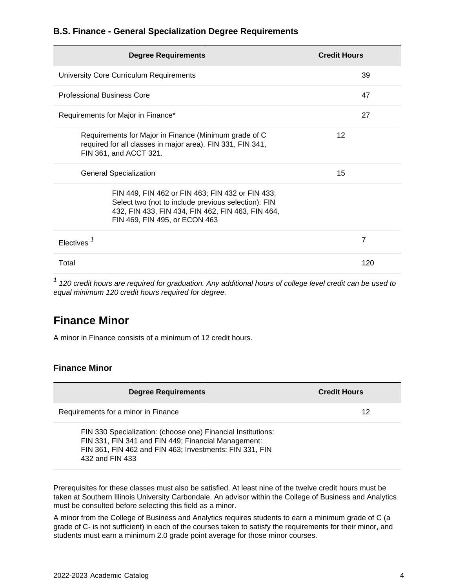#### **B.S. Finance - General Specialization Degree Requirements**

| <b>Degree Requirements</b>                                                                                                                                                                    | <b>Credit Hours</b> |
|-----------------------------------------------------------------------------------------------------------------------------------------------------------------------------------------------|---------------------|
| University Core Curriculum Requirements                                                                                                                                                       | 39                  |
| <b>Professional Business Core</b>                                                                                                                                                             | 47                  |
| Requirements for Major in Finance*                                                                                                                                                            | 27                  |
| Requirements for Major in Finance (Minimum grade of C<br>required for all classes in major area). FIN 331, FIN 341,<br>FIN 361, and ACCT 321.                                                 | 12                  |
| <b>General Specialization</b>                                                                                                                                                                 | 15                  |
| FIN 449, FIN 462 or FIN 463; FIN 432 or FIN 433;<br>Select two (not to include previous selection): FIN<br>432, FIN 433, FIN 434, FIN 462, FIN 463, FIN 464,<br>FIN 469, FIN 495, or ECON 463 |                     |
| Electives <sup>1</sup>                                                                                                                                                                        | 7                   |
| Total                                                                                                                                                                                         | 120                 |

 $1$  120 credit hours are required for graduation. Any additional hours of college level credit can be used to equal minimum 120 credit hours required for degree.

### **Finance Minor**

A minor in Finance consists of a minimum of 12 credit hours.

#### **Finance Minor**

| <b>Degree Requirements</b>                                                                                                                                                                        | <b>Credit Hours</b> |
|---------------------------------------------------------------------------------------------------------------------------------------------------------------------------------------------------|---------------------|
| Requirements for a minor in Finance                                                                                                                                                               | 12                  |
| FIN 330 Specialization: (choose one) Financial Institutions:<br>FIN 331, FIN 341 and FIN 449; Financial Management:<br>FIN 361, FIN 462 and FIN 463; Investments: FIN 331, FIN<br>432 and FIN 433 |                     |

Prerequisites for these classes must also be satisfied. At least nine of the twelve credit hours must be taken at Southern Illinois University Carbondale. An advisor within the College of Business and Analytics must be consulted before selecting this field as a minor.

A minor from the College of Business and Analytics requires students to earn a minimum grade of C (a grade of C- is not sufficient) in each of the courses taken to satisfy the requirements for their minor, and students must earn a minimum 2.0 grade point average for those minor courses.